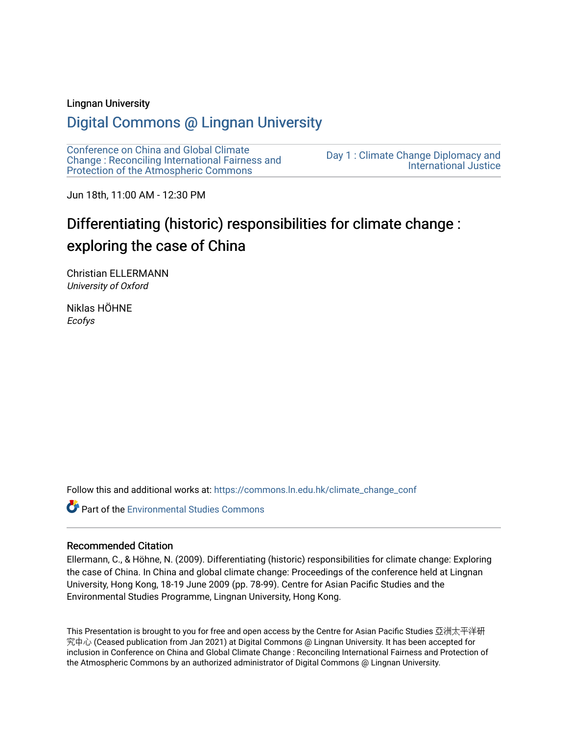#### Lingnan University

## [Digital Commons @ Lingnan University](https://commons.ln.edu.hk/)

[Conference on China and Global Climate](https://commons.ln.edu.hk/climate_change_conf)  [Change : Reconciling International Fairness and](https://commons.ln.edu.hk/climate_change_conf)  [Protection of the Atmospheric Commons](https://commons.ln.edu.hk/climate_change_conf)

[Day 1 : Climate Change Diplomacy and](https://commons.ln.edu.hk/climate_change_conf/day1)  [International Justice](https://commons.ln.edu.hk/climate_change_conf/day1) 

Jun 18th, 11:00 AM - 12:30 PM

# Differentiating (historic) responsibilities for climate change : exploring the case of China

Christian ELLERMANN University of Oxford

Niklas HÖHNE Ecofys

Follow this and additional works at: [https://commons.ln.edu.hk/climate\\_change\\_conf](https://commons.ln.edu.hk/climate_change_conf?utm_source=commons.ln.edu.hk%2Fclimate_change_conf%2Fday1%2Fs2%2F1&utm_medium=PDF&utm_campaign=PDFCoverPages) 

**Part of the [Environmental Studies Commons](https://network.bepress.com/hgg/discipline/1333?utm_source=commons.ln.edu.hk%2Fclimate_change_conf%2Fday1%2Fs2%2F1&utm_medium=PDF&utm_campaign=PDFCoverPages)** 

#### Recommended Citation

Ellermann, C., & Höhne, N. (2009). Differentiating (historic) responsibilities for climate change: Exploring the case of China. In China and global climate change: Proceedings of the conference held at Lingnan University, Hong Kong, 18-19 June 2009 (pp. 78-99). Centre for Asian Pacific Studies and the Environmental Studies Programme, Lingnan University, Hong Kong.

This Presentation is brought to you for free and open access by the Centre for Asian Pacific Studies 亞洲太平洋研 究中心 (Ceased publication from Jan 2021) at Digital Commons @ Lingnan University. It has been accepted for inclusion in Conference on China and Global Climate Change : Reconciling International Fairness and Protection of the Atmospheric Commons by an authorized administrator of Digital Commons @ Lingnan University.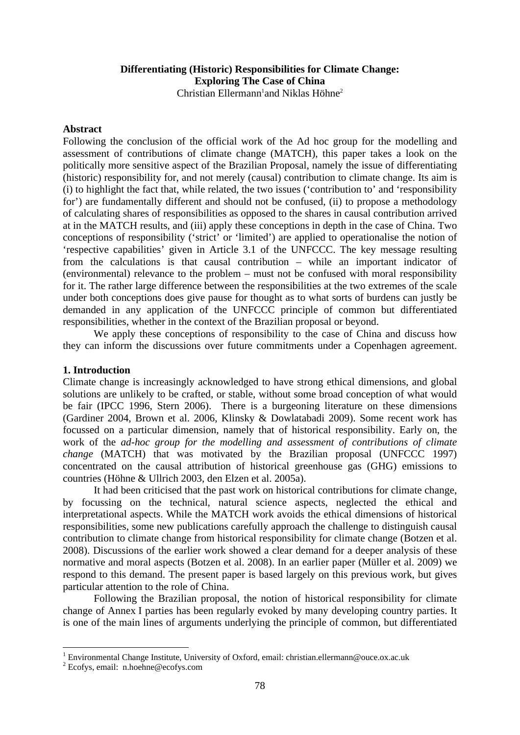## **Differentiating (Historic) Responsibilities for Climate Change: Exploring The Case of China**

Christian Ellermann<sup>1</sup>and Niklas Höhne<sup>2</sup>

## **Abstract**

Following the conclusion of the official work of the Ad hoc group for the modelling and assessment of contributions of climate change (MATCH), this paper takes a look on the politically more sensitive aspect of the Brazilian Proposal, namely the issue of differentiating (historic) responsibility for, and not merely (causal) contribution to climate change. Its aim is (i) to highlight the fact that, while related, the two issues ('contribution to' and 'responsibility for') are fundamentally different and should not be confused, (ii) to propose a methodology of calculating shares of responsibilities as opposed to the shares in causal contribution arrived at in the MATCH results, and (iii) apply these conceptions in depth in the case of China. Two conceptions of responsibility ('strict' or 'limited') are applied to operationalise the notion of 'respective capabilities' given in Article 3.1 of the UNFCCC. The key message resulting from the calculations is that causal contribution – while an important indicator of (environmental) relevance to the problem – must not be confused with moral responsibility for it. The rather large difference between the responsibilities at the two extremes of the scale under both conceptions does give pause for thought as to what sorts of burdens can justly be demanded in any application of the UNFCCC principle of common but differentiated responsibilities, whether in the context of the Brazilian proposal or beyond.

We apply these conceptions of responsibility to the case of China and discuss how they can inform the discussions over future commitments under a Copenhagen agreement.

## **1. Introduction**

Climate change is increasingly acknowledged to have strong ethical dimensions, and global solutions are unlikely to be crafted, or stable, without some broad conception of what would be fair (IPCC 1996, Stern 2006). There is a burgeoning literature on these dimensions (Gardiner 2004, Brown et al. 2006, Klinsky & Dowlatabadi 2009). Some recent work has focussed on a particular dimension, namely that of historical responsibility. Early on, the work of the *ad-hoc group for the modelling and assessment of contributions of climate change* (MATCH) that was motivated by the Brazilian proposal (UNFCCC 1997) concentrated on the causal attribution of historical greenhouse gas (GHG) emissions to countries (Höhne & Ullrich 2003, den Elzen et al. 2005a).

It had been criticised that the past work on historical contributions for climate change, by focussing on the technical, natural science aspects, neglected the ethical and interpretational aspects. While the MATCH work avoids the ethical dimensions of historical responsibilities, some new publications carefully approach the challenge to distinguish causal contribution to climate change from historical responsibility for climate change (Botzen et al. 2008). Discussions of the earlier work showed a clear demand for a deeper analysis of these normative and moral aspects (Botzen et al. 2008). In an earlier paper (Müller et al. 2009) we respond to this demand. The present paper is based largely on this previous work, but gives particular attention to the role of China.

Following the Brazilian proposal, the notion of historical responsibility for climate change of Annex I parties has been regularly evoked by many developing country parties. It is one of the main lines of arguments underlying the principle of common, but differentiated

<sup>&</sup>lt;sup>1</sup> Environmental Change Institute, University of Oxford, email: christian.ellermann@ouce.ox.ac.uk

<sup>2</sup> Ecofys, email: n.hoehne@ecofys.com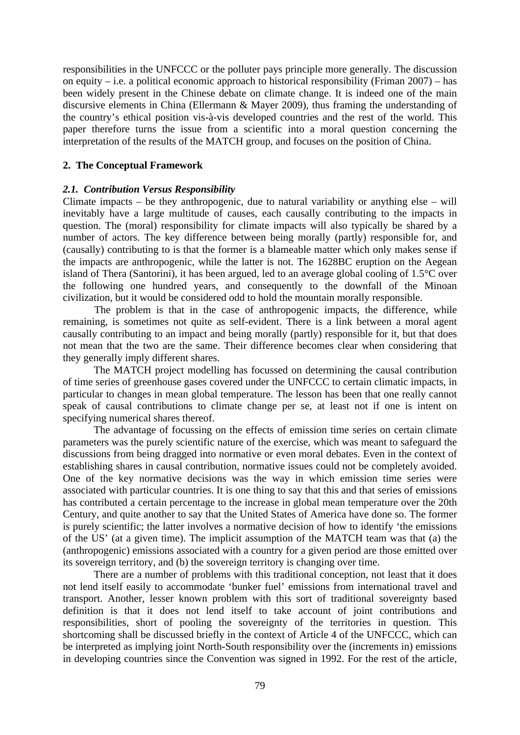responsibilities in the UNFCCC or the polluter pays principle more generally. The discussion on equity – i.e. a political economic approach to historical responsibility (Friman  $2007$ ) – has been widely present in the Chinese debate on climate change. It is indeed one of the main discursive elements in China (Ellermann & Mayer 2009), thus framing the understanding of the country's ethical position vis-à-vis developed countries and the rest of the world. This paper therefore turns the issue from a scientific into a moral question concerning the interpretation of the results of the MATCH group, and focuses on the position of China.

## **2. The Conceptual Framework**

## *2.1. Contribution Versus Responsibility*

Climate impacts – be they anthropogenic, due to natural variability or anything else – will inevitably have a large multitude of causes, each causally contributing to the impacts in question. The (moral) responsibility for climate impacts will also typically be shared by a number of actors. The key difference between being morally (partly) responsible for, and (causally) contributing to is that the former is a blameable matter which only makes sense if the impacts are anthropogenic, while the latter is not. The 1628BC eruption on the Aegean island of Thera (Santorini), it has been argued, led to an average global cooling of 1.5°C over the following one hundred years, and consequently to the downfall of the Minoan civilization, but it would be considered odd to hold the mountain morally responsible.

 The problem is that in the case of anthropogenic impacts, the difference, while remaining, is sometimes not quite as self-evident. There is a link between a moral agent causally contributing to an impact and being morally (partly) responsible for it, but that does not mean that the two are the same. Their difference becomes clear when considering that they generally imply different shares.

The MATCH project modelling has focussed on determining the causal contribution of time series of greenhouse gases covered under the UNFCCC to certain climatic impacts, in particular to changes in mean global temperature. The lesson has been that one really cannot speak of causal contributions to climate change per se, at least not if one is intent on specifying numerical shares thereof.

The advantage of focussing on the effects of emission time series on certain climate parameters was the purely scientific nature of the exercise, which was meant to safeguard the discussions from being dragged into normative or even moral debates. Even in the context of establishing shares in causal contribution, normative issues could not be completely avoided. One of the key normative decisions was the way in which emission time series were associated with particular countries. It is one thing to say that this and that series of emissions has contributed a certain percentage to the increase in global mean temperature over the 20th Century, and quite another to say that the United States of America have done so. The former is purely scientific; the latter involves a normative decision of how to identify 'the emissions of the US' (at a given time). The implicit assumption of the MATCH team was that (a) the (anthropogenic) emissions associated with a country for a given period are those emitted over its sovereign territory, and (b) the sovereign territory is changing over time.

There are a number of problems with this traditional conception, not least that it does not lend itself easily to accommodate 'bunker fuel' emissions from international travel and transport. Another, lesser known problem with this sort of traditional sovereignty based definition is that it does not lend itself to take account of joint contributions and responsibilities, short of pooling the sovereignty of the territories in question. This shortcoming shall be discussed briefly in the context of Article 4 of the UNFCCC, which can be interpreted as implying joint North-South responsibility over the (increments in) emissions in developing countries since the Convention was signed in 1992. For the rest of the article,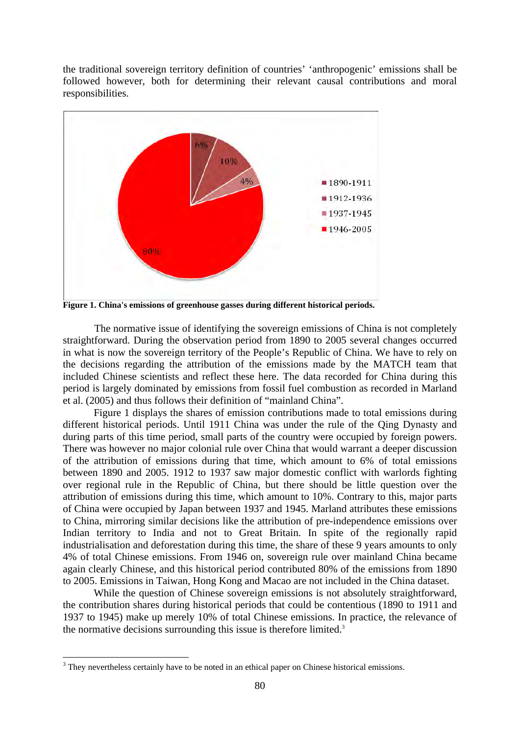the traditional sovereign territory definition of countries' 'anthropogenic' emissions shall be followed however, both for determining their relevant causal contributions and moral responsibilities.



**Figure 1. China's emissions of greenhouse gasses during different historical periods.** 

 The normative issue of identifying the sovereign emissions of China is not completely straightforward. During the observation period from 1890 to 2005 several changes occurred in what is now the sovereign territory of the People's Republic of China. We have to rely on the decisions regarding the attribution of the emissions made by the MATCH team that included Chinese scientists and reflect these here. The data recorded for China during this period is largely dominated by emissions from fossil fuel combustion as recorded in Marland et al. (2005) and thus follows their definition of "mainland China".

Figure 1 displays the shares of emission contributions made to total emissions during different historical periods. Until 1911 China was under the rule of the Qing Dynasty and during parts of this time period, small parts of the country were occupied by foreign powers. There was however no major colonial rule over China that would warrant a deeper discussion of the attribution of emissions during that time, which amount to 6% of total emissions between 1890 and 2005. 1912 to 1937 saw major domestic conflict with warlords fighting over regional rule in the Republic of China, but there should be little question over the attribution of emissions during this time, which amount to 10%. Contrary to this, major parts of China were occupied by Japan between 1937 and 1945. Marland attributes these emissions to China, mirroring similar decisions like the attribution of pre-independence emissions over Indian territory to India and not to Great Britain. In spite of the regionally rapid industrialisation and deforestation during this time, the share of these 9 years amounts to only 4% of total Chinese emissions. From 1946 on, sovereign rule over mainland China became again clearly Chinese, and this historical period contributed 80% of the emissions from 1890 to 2005. Emissions in Taiwan, Hong Kong and Macao are not included in the China dataset.

While the question of Chinese sovereign emissions is not absolutely straightforward, the contribution shares during historical periods that could be contentious (1890 to 1911 and 1937 to 1945) make up merely 10% of total Chinese emissions. In practice, the relevance of the normative decisions surrounding this issue is therefore limited.<sup>3</sup>

<sup>&</sup>lt;sup>3</sup> They nevertheless certainly have to be noted in an ethical paper on Chinese historical emissions.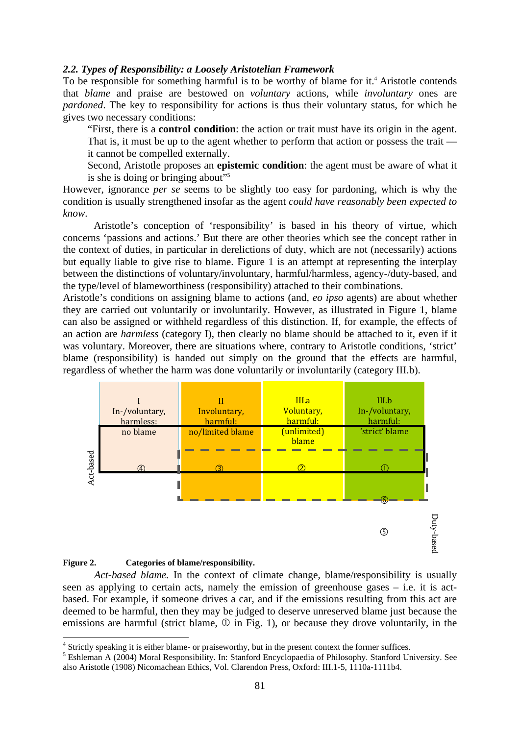#### *2.2. Types of Responsibility: a Loosely Aristotelian Framework*

To be responsible for something harmful is to be worthy of blame for it.<sup>4</sup> Aristotle contends that *blame* and praise are bestowed on *voluntary* actions, while *involuntary* ones are *pardoned*. The key to responsibility for actions is thus their voluntary status, for which he gives two necessary conditions:

"First, there is a **control condition**: the action or trait must have its origin in the agent. That is, it must be up to the agent whether to perform that action or possess the trait it cannot be compelled externally.

Second, Aristotle proposes an **epistemic condition**: the agent must be aware of what it is she is doing or bringing about"5

However, ignorance *per se* seems to be slightly too easy for pardoning, which is why the condition is usually strengthened insofar as the agent *could have reasonably been expected to know*.

Aristotle's conception of 'responsibility' is based in his theory of virtue, which concerns 'passions and actions.' But there are other theories which see the concept rather in the context of duties, in particular in derelictions of duty, which are not (necessarily) actions but equally liable to give rise to blame. Figure 1 is an attempt at representing the interplay between the distinctions of voluntary/involuntary, harmful/harmless, agency-/duty-based, and the type/level of blameworthiness (responsibility) attached to their combinations.

Aristotle's conditions on assigning blame to actions (and, *eo ipso* agents) are about whether they are carried out voluntarily or involuntarily. However, as illustrated in Figure 1, blame can also be assigned or withheld regardless of this distinction. If, for example, the effects of an action are *harmless* (category I), then clearly no blame should be attached to it, even if it was voluntary. Moreover, there are situations where, contrary to Aristotle conditions, 'strict' blame (responsibility) is handed out simply on the ground that the effects are harmful, regardless of whether the harm was done voluntarily or involuntarily (category III.b).



#### **Figure 2. Categories of blame/responsibility.**

1

*Act-based blame.* In the context of climate change, blame/responsibility is usually seen as applying to certain acts, namely the emission of greenhouse gases – i.e. it is actbased. For example, if someone drives a car, and if the emissions resulting from this act are deemed to be harmful, then they may be judged to deserve unreserved blame just because the emissions are harmful (strict blame,  $\mathbb O$  in Fig. 1), or because they drove voluntarily, in the

<sup>&</sup>lt;sup>4</sup> Strictly speaking it is either blame- or praiseworthy, but in the present context the former suffices.

<sup>&</sup>lt;sup>5</sup> Eshleman A (2004) Moral Responsibility. In: Stanford Encyclopaedia of Philosophy. Stanford University. See also Aristotle (1908) Nicomachean Ethics, Vol. Clarendon Press, Oxford: III.1-5, 1110a-1111b4.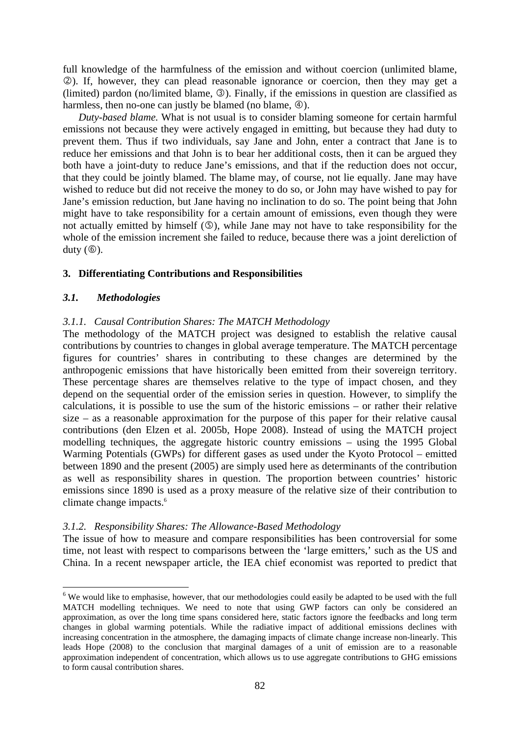full knowledge of the harmfulness of the emission and without coercion (unlimited blame, d). If, however, they can plead reasonable ignorance or coercion, then they may get a (limited) pardon (no/limited blame,  $\circled{3}$ ). Finally, if the emissions in question are classified as harmless, then no-one can justly be blamed (no blame,  $\circledA$ ).

*Duty-based blame.* What is not usual is to consider blaming someone for certain harmful emissions not because they were actively engaged in emitting, but because they had duty to prevent them. Thus if two individuals, say Jane and John, enter a contract that Jane is to reduce her emissions and that John is to bear her additional costs, then it can be argued they both have a joint-duty to reduce Jane's emissions, and that if the reduction does not occur, that they could be jointly blamed. The blame may, of course, not lie equally. Jane may have wished to reduce but did not receive the money to do so, or John may have wished to pay for Jane's emission reduction, but Jane having no inclination to do so. The point being that John might have to take responsibility for a certain amount of emissions, even though they were not actually emitted by himself  $(\mathbb{G})$ , while Jane may not have to take responsibility for the whole of the emission increment she failed to reduce, because there was a joint dereliction of duty  $(\circledcirc)$ .

## **3. Differentiating Contributions and Responsibilities**

#### *3.1. Methodologies*

1

## *3.1.1. Causal Contribution Shares: The MATCH Methodology*

The methodology of the MATCH project was designed to establish the relative causal contributions by countries to changes in global average temperature. The MATCH percentage figures for countries' shares in contributing to these changes are determined by the anthropogenic emissions that have historically been emitted from their sovereign territory. These percentage shares are themselves relative to the type of impact chosen, and they depend on the sequential order of the emission series in question. However, to simplify the calculations, it is possible to use the sum of the historic emissions – or rather their relative size – as a reasonable approximation for the purpose of this paper for their relative causal contributions (den Elzen et al. 2005b, Hope 2008). Instead of using the MATCH project modelling techniques, the aggregate historic country emissions – using the 1995 Global Warming Potentials (GWPs) for different gases as used under the Kyoto Protocol – emitted between 1890 and the present (2005) are simply used here as determinants of the contribution as well as responsibility shares in question. The proportion between countries' historic emissions since 1890 is used as a proxy measure of the relative size of their contribution to climate change impacts.<sup>6</sup>

#### *3.1.2. Responsibility Shares: The Allowance-Based Methodology*

The issue of how to measure and compare responsibilities has been controversial for some time, not least with respect to comparisons between the 'large emitters,' such as the US and China. In a recent newspaper article, the IEA chief economist was reported to predict that

 $6$  We would like to emphasise, however, that our methodologies could easily be adapted to be used with the full MATCH modelling techniques. We need to note that using GWP factors can only be considered an approximation, as over the long time spans considered here, static factors ignore the feedbacks and long term changes in global warming potentials. While the radiative impact of additional emissions declines with increasing concentration in the atmosphere, the damaging impacts of climate change increase non-linearly. This leads Hope (2008) to the conclusion that marginal damages of a unit of emission are to a reasonable approximation independent of concentration, which allows us to use aggregate contributions to GHG emissions to form causal contribution shares.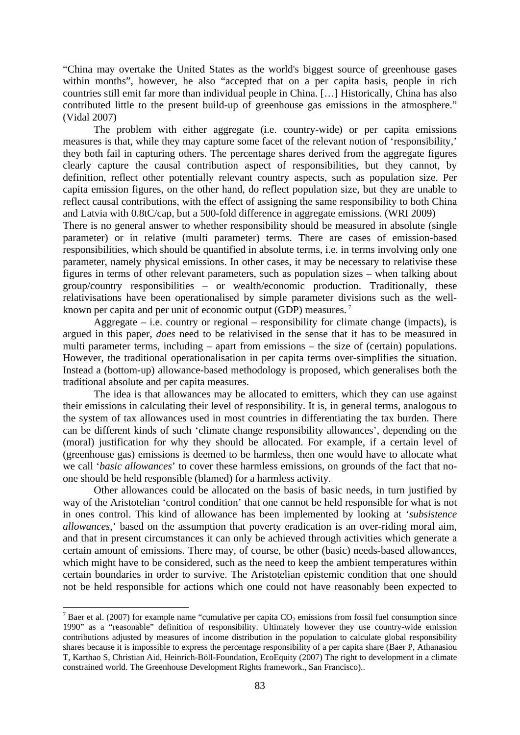"China may overtake the United States as the world's biggest source of greenhouse gases within months", however, he also "accepted that on a per capita basis, people in rich countries still emit far more than individual people in China. […] Historically, China has also contributed little to the present build-up of greenhouse gas emissions in the atmosphere." (Vidal 2007)

The problem with either aggregate (i.e. country-wide) or per capita emissions measures is that, while they may capture some facet of the relevant notion of 'responsibility,' they both fail in capturing others. The percentage shares derived from the aggregate figures clearly capture the causal contribution aspect of responsibilities, but they cannot, by definition, reflect other potentially relevant country aspects, such as population size. Per capita emission figures, on the other hand, do reflect population size, but they are unable to reflect causal contributions, with the effect of assigning the same responsibility to both China and Latvia with 0.8tC/cap, but a 500-fold difference in aggregate emissions. (WRI 2009)

There is no general answer to whether responsibility should be measured in absolute (single parameter) or in relative (multi parameter) terms. There are cases of emission-based responsibilities, which should be quantified in absolute terms, i.e. in terms involving only one parameter, namely physical emissions. In other cases, it may be necessary to relativise these figures in terms of other relevant parameters, such as population sizes – when talking about group/country responsibilities – or wealth/economic production. Traditionally, these relativisations have been operationalised by simple parameter divisions such as the wellknown per capita and per unit of economic output (GDP) measures.<sup>7</sup>

Aggregate – i.e. country or regional – responsibility for climate change (impacts), is argued in this paper, *does* need to be relativised in the sense that it has to be measured in multi parameter terms, including – apart from emissions – the size of (certain) populations. However, the traditional operationalisation in per capita terms over-simplifies the situation. Instead a (bottom-up) allowance-based methodology is proposed, which generalises both the traditional absolute and per capita measures.

The idea is that allowances may be allocated to emitters, which they can use against their emissions in calculating their level of responsibility. It is, in general terms, analogous to the system of tax allowances used in most countries in differentiating the tax burden. There can be different kinds of such 'climate change responsibility allowances', depending on the (moral) justification for why they should be allocated. For example, if a certain level of (greenhouse gas) emissions is deemed to be harmless, then one would have to allocate what we call '*basic allowances*' to cover these harmless emissions, on grounds of the fact that noone should be held responsible (blamed) for a harmless activity.

Other allowances could be allocated on the basis of basic needs, in turn justified by way of the Aristotelian 'control condition' that one cannot be held responsible for what is not in ones control. This kind of allowance has been implemented by looking at '*subsistence allowances*,' based on the assumption that poverty eradication is an over-riding moral aim, and that in present circumstances it can only be achieved through activities which generate a certain amount of emissions. There may, of course, be other (basic) needs-based allowances, which might have to be considered, such as the need to keep the ambient temperatures within certain boundaries in order to survive. The Aristotelian epistemic condition that one should not be held responsible for actions which one could not have reasonably been expected to

 $<sup>7</sup>$  Baer et al. (2007) for example name "cumulative per capita CO<sub>2</sub> emissions from fossil fuel consumption since</sup> 1990" as a "reasonable" definition of responsibility. Ultimately however they use country-wide emission contributions adjusted by measures of income distribution in the population to calculate global responsibility shares because it is impossible to express the percentage responsibility of a per capita share (Baer P, Athanasiou T, Karthao S, Christian Aid, Heinrich-Böll-Foundation, EcoEquity (2007) The right to development in a climate constrained world. The Greenhouse Development Rights framework., San Francisco)..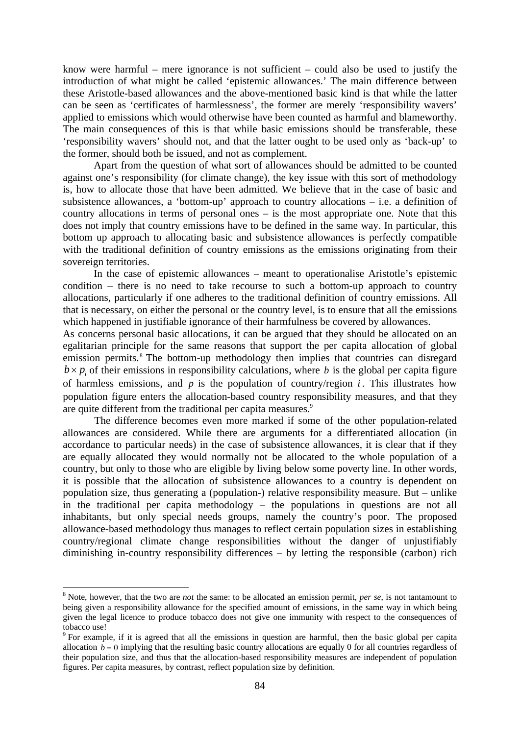know were harmful – mere ignorance is not sufficient – could also be used to justify the introduction of what might be called 'epistemic allowances.' The main difference between these Aristotle-based allowances and the above-mentioned basic kind is that while the latter can be seen as 'certificates of harmlessness', the former are merely 'responsibility wavers' applied to emissions which would otherwise have been counted as harmful and blameworthy. The main consequences of this is that while basic emissions should be transferable, these 'responsibility wavers' should not, and that the latter ought to be used only as 'back-up' to the former, should both be issued, and not as complement.

Apart from the question of what sort of allowances should be admitted to be counted against one's responsibility (for climate change), the key issue with this sort of methodology is, how to allocate those that have been admitted. We believe that in the case of basic and subsistence allowances, a 'bottom-up' approach to country allocations – i.e. a definition of country allocations in terms of personal ones – is the most appropriate one. Note that this does not imply that country emissions have to be defined in the same way. In particular, this bottom up approach to allocating basic and subsistence allowances is perfectly compatible with the traditional definition of country emissions as the emissions originating from their sovereign territories.

In the case of epistemic allowances – meant to operationalise Aristotle's epistemic condition – there is no need to take recourse to such a bottom-up approach to country allocations, particularly if one adheres to the traditional definition of country emissions. All that is necessary, on either the personal or the country level, is to ensure that all the emissions which happened in justifiable ignorance of their harmfulness be covered by allowances.

As concerns personal basic allocations, it can be argued that they should be allocated on an egalitarian principle for the same reasons that support the per capita allocation of global emission permits.<sup>8</sup> The bottom-up methodology then implies that countries can disregard  $b \times p_i$  of their emissions in responsibility calculations, where *b* is the global per capita figure of harmless emissions, and  $p$  is the population of country/region  $i$ . This illustrates how population figure enters the allocation-based country responsibility measures, and that they are quite different from the traditional per capita measures.<sup>9</sup>

 The difference becomes even more marked if some of the other population-related allowances are considered. While there are arguments for a differentiated allocation (in accordance to particular needs) in the case of subsistence allowances, it is clear that if they are equally allocated they would normally not be allocated to the whole population of a country, but only to those who are eligible by living below some poverty line. In other words, it is possible that the allocation of subsistence allowances to a country is dependent on population size, thus generating a (population-) relative responsibility measure. But – unlike in the traditional per capita methodology – the populations in questions are not all inhabitants, but only special needs groups, namely the country's poor. The proposed allowance-based methodology thus manages to reflect certain population sizes in establishing country/regional climate change responsibilities without the danger of unjustifiably diminishing in-country responsibility differences – by letting the responsible (carbon) rich

<sup>8</sup> Note, however, that the two are *not* the same: to be allocated an emission permit, *per se*, is not tantamount to being given a responsibility allowance for the specified amount of emissions, in the same way in which being given the legal licence to produce tobacco does not give one immunity with respect to the consequences of tobacco use!

<sup>&</sup>lt;sup>9</sup> For example, if it is agreed that all the emissions in question are harmful, then the basic global per capita allocation  $b = 0$  implying that the resulting basic country allocations are equally 0 for all countries regardless of their population size, and thus that the allocation-based responsibility measures are independent of population figures. Per capita measures, by contrast, reflect population size by definition.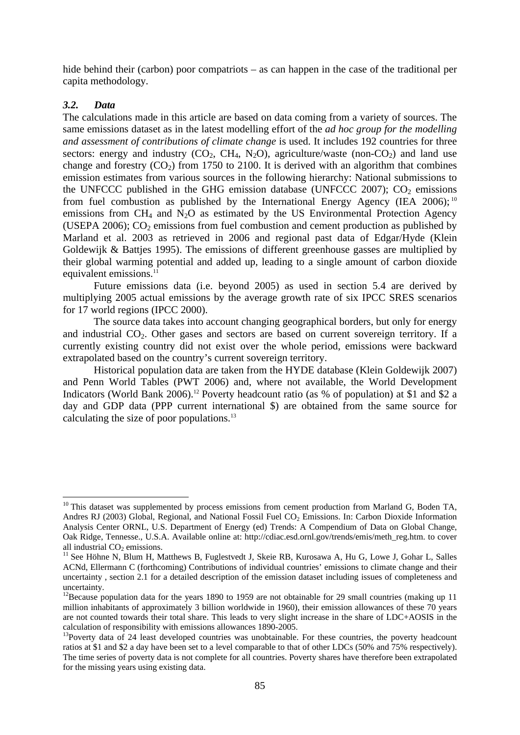hide behind their (carbon) poor compatriots – as can happen in the case of the traditional per capita methodology.

## *3.2. Data*

<u>.</u>

The calculations made in this article are based on data coming from a variety of sources. The same emissions dataset as in the latest modelling effort of the *ad hoc group for the modelling and assessment of contributions of climate change* is used. It includes 192 countries for three sectors: energy and industry  $(CO_2, CH_4, N_2O)$ , agriculture/waste (non- $CO_2$ ) and land use change and forestry  $(CO_2)$  from 1750 to 2100. It is derived with an algorithm that combines emission estimates from various sources in the following hierarchy: National submissions to the UNFCCC published in the GHG emission database (UNFCCC 2007);  $CO<sub>2</sub>$  emissions from fuel combustion as published by the International Energy Agency (IEA 2006);  $10$ emissions from  $CH_4$  and  $N_2O$  as estimated by the US Environmental Protection Agency (USEPA 2006);  $CO<sub>2</sub>$  emissions from fuel combustion and cement production as published by Marland et al. 2003 as retrieved in 2006 and regional past data of Edgar/Hyde (Klein Goldewijk & Battjes 1995). The emissions of different greenhouse gasses are multiplied by their global warming potential and added up, leading to a single amount of carbon dioxide equivalent emissions. $11$ 

Future emissions data (i.e. beyond 2005) as used in section 5.4 are derived by multiplying 2005 actual emissions by the average growth rate of six IPCC SRES scenarios for 17 world regions (IPCC 2000).

The source data takes into account changing geographical borders, but only for energy and industrial  $CO<sub>2</sub>$ . Other gases and sectors are based on current sovereign territory. If a currently existing country did not exist over the whole period, emissions were backward extrapolated based on the country's current sovereign territory.

Historical population data are taken from the HYDE database (Klein Goldewijk 2007) and Penn World Tables (PWT 2006) and, where not available, the World Development Indicators (World Bank 2006).<sup>12</sup> Poverty headcount ratio (as % of population) at \$1 and \$2 a day and GDP data (PPP current international \$) are obtained from the same source for calculating the size of poor populations.13

 $10$  This dataset was supplemented by process emissions from cement production from Marland G, Boden TA, Andres RJ (2003) Global, Regional, and National Fossil Fuel CO<sub>2</sub> Emissions. In: Carbon Dioxide Information Analysis Center ORNL, U.S. Department of Energy (ed) Trends: A Compendium of Data on Global Change, Oak Ridge, Tennesse., U.S.A. Available online at: http://cdiac.esd.ornl.gov/trends/emis/meth\_reg.htm. to cover

<sup>&</sup>lt;sup>11</sup> See Höhne N, Blum H, Matthews B, Fuglestvedt J, Skeie RB, Kurosawa A, Hu G, Lowe J, Gohar L, Salles ACNd, Ellermann C (forthcoming) Contributions of individual countries' emissions to climate change and their uncertainty , section 2.1 for a detailed description of the emission dataset including issues of completeness and uncertainty.

<sup>&</sup>lt;sup>12</sup>Because population data for the years 1890 to 1959 are not obtainable for 29 small countries (making up 11) million inhabitants of approximately 3 billion worldwide in 1960), their emission allowances of these 70 years are not counted towards their total share. This leads to very slight increase in the share of LDC+AOSIS in the calculation of responsibility with emissions allowances 1890-2005.

<sup>&</sup>lt;sup>13</sup>Poverty data of 24 least developed countries was unobtainable. For these countries, the poverty headcount ratios at \$1 and \$2 a day have been set to a level comparable to that of other LDCs (50% and 75% respectively). The time series of poverty data is not complete for all countries. Poverty shares have therefore been extrapolated for the missing years using existing data.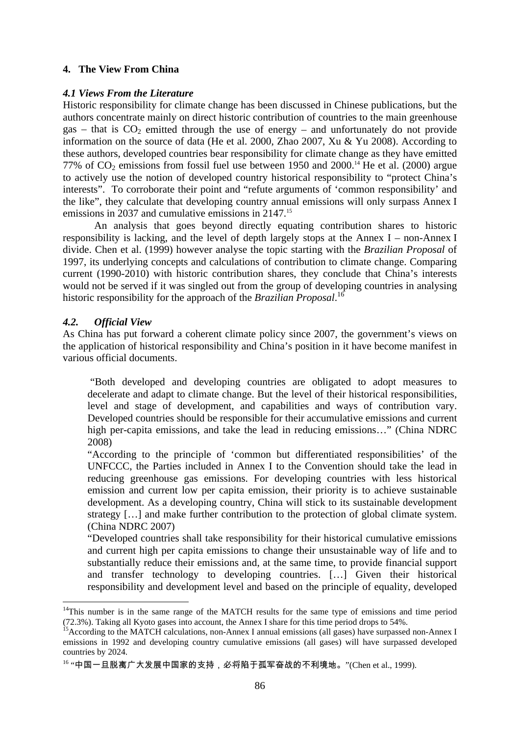## **4. The View From China**

#### *4.1 Views From the Literature*

Historic responsibility for climate change has been discussed in Chinese publications, but the authors concentrate mainly on direct historic contribution of countries to the main greenhouse gas – that is  $CO<sub>2</sub>$  emitted through the use of energy – and unfortunately do not provide information on the source of data (He et al. 2000, Zhao 2007, Xu & Yu 2008). According to these authors, developed countries bear responsibility for climate change as they have emitted 77% of  $CO_2$  emissions from fossil fuel use between 1950 and 2000.<sup>14</sup> He et al. (2000) argue to actively use the notion of developed country historical responsibility to "protect China's interests". To corroborate their point and "refute arguments of 'common responsibility' and the like", they calculate that developing country annual emissions will only surpass Annex I emissions in 2037 and cumulative emissions in 2147.<sup>15</sup>

An analysis that goes beyond directly equating contribution shares to historic responsibility is lacking, and the level of depth largely stops at the Annex I – non-Annex I divide. Chen et al. (1999) however analyse the topic starting with the *Brazilian Proposal* of 1997, its underlying concepts and calculations of contribution to climate change. Comparing current (1990-2010) with historic contribution shares, they conclude that China's interests would not be served if it was singled out from the group of developing countries in analysing historic responsibility for the approach of the *Brazilian Proposal*. 16

## *4.2. Official View*

1

As China has put forward a coherent climate policy since 2007, the government's views on the application of historical responsibility and China's position in it have become manifest in various official documents.

 "Both developed and developing countries are obligated to adopt measures to decelerate and adapt to climate change. But the level of their historical responsibilities, level and stage of development, and capabilities and ways of contribution vary. Developed countries should be responsible for their accumulative emissions and current high per-capita emissions, and take the lead in reducing emissions…" (China NDRC 2008)

"According to the principle of 'common but differentiated responsibilities' of the UNFCCC, the Parties included in Annex I to the Convention should take the lead in reducing greenhouse gas emissions. For developing countries with less historical emission and current low per capita emission, their priority is to achieve sustainable development. As a developing country, China will stick to its sustainable development strategy […] and make further contribution to the protection of global climate system. (China NDRC 2007)

"Developed countries shall take responsibility for their historical cumulative emissions and current high per capita emissions to change their unsustainable way of life and to substantially reduce their emissions and, at the same time, to provide financial support and transfer technology to developing countries. […] Given their historical responsibility and development level and based on the principle of equality, developed

<sup>&</sup>lt;sup>14</sup>This number is in the same range of the MATCH results for the same type of emissions and time period (72.3%). Taking all Kyoto gases into account, the Annex I share for this time period drops to 54%.

<sup>&</sup>lt;sup>15</sup> According to the MATCH calculations, non-Annex I annual emissions (all gases) have surpassed non-Annex I emissions in 1992 and developing country cumulative emissions (all gases) will have surpassed developed countries by 2024.

<sup>16 &</sup>quot;中国一旦脱离广大发展中国家的支持, 必将陷于孤军奋战的不利境地。"(Chen et al., 1999).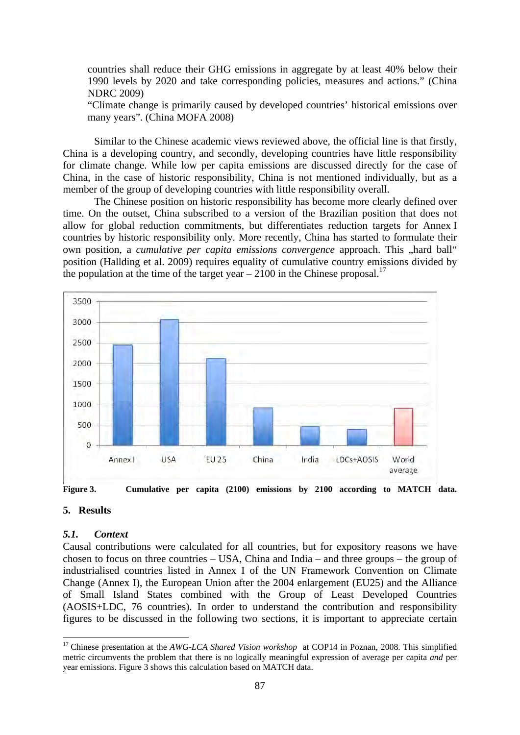countries shall reduce their GHG emissions in aggregate by at least 40% below their 1990 levels by 2020 and take corresponding policies, measures and actions." (China NDRC 2009)

"Climate change is primarily caused by developed countries' historical emissions over many years". (China MOFA 2008)

 Similar to the Chinese academic views reviewed above, the official line is that firstly, China is a developing country, and secondly, developing countries have little responsibility for climate change. While low per capita emissions are discussed directly for the case of China, in the case of historic responsibility, China is not mentioned individually, but as a member of the group of developing countries with little responsibility overall.

The Chinese position on historic responsibility has become more clearly defined over time. On the outset, China subscribed to a version of the Brazilian position that does not allow for global reduction commitments, but differentiates reduction targets for Annex I countries by historic responsibility only. More recently, China has started to formulate their own position, a *cumulative per capita emissions convergence* approach. This "hard ball" position (Hallding et al. 2009) requires equality of cumulative country emissions divided by the population at the time of the target year  $-2100$  in the Chinese proposal.<sup>17</sup>



**Figure 3. Cumulative per capita (2100) emissions by 2100 according to MATCH data.** 

## **5. Results**

1

#### *5.1. Context*

Causal contributions were calculated for all countries, but for expository reasons we have chosen to focus on three countries – USA, China and India – and three groups – the group of industrialised countries listed in Annex I of the UN Framework Convention on Climate Change (Annex I), the European Union after the 2004 enlargement (EU25) and the Alliance of Small Island States combined with the Group of Least Developed Countries (AOSIS+LDC, 76 countries). In order to understand the contribution and responsibility figures to be discussed in the following two sections, it is important to appreciate certain

<sup>&</sup>lt;sup>17</sup> Chinese presentation at the *AWG-LCA Shared Vision workshop* at COP14 in Poznan, 2008. This simplified metric circumvents the problem that there is no logically meaningful expression of average per capita *and* per year emissions. Figure 3 shows this calculation based on MATCH data.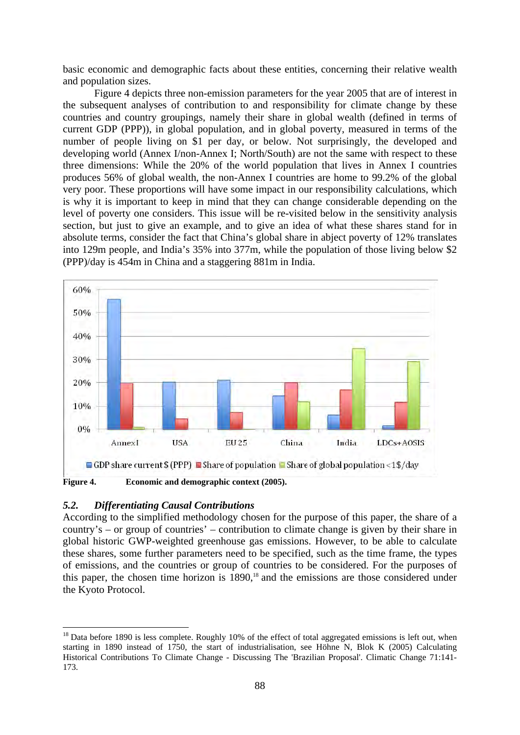basic economic and demographic facts about these entities, concerning their relative wealth and population sizes.

Figure 4 depicts three non-emission parameters for the year 2005 that are of interest in the subsequent analyses of contribution to and responsibility for climate change by these countries and country groupings, namely their share in global wealth (defined in terms of current GDP (PPP)), in global population, and in global poverty, measured in terms of the number of people living on \$1 per day, or below. Not surprisingly, the developed and developing world (Annex I/non-Annex I; North/South) are not the same with respect to these three dimensions: While the 20% of the world population that lives in Annex I countries produces 56% of global wealth, the non-Annex I countries are home to 99.2% of the global very poor. These proportions will have some impact in our responsibility calculations, which is why it is important to keep in mind that they can change considerable depending on the level of poverty one considers. This issue will be re-visited below in the sensitivity analysis section, but just to give an example, and to give an idea of what these shares stand for in absolute terms, consider the fact that China's global share in abject poverty of 12% translates into 129m people, and India's 35% into 377m, while the population of those living below \$2 (PPP)/day is 454m in China and a staggering 881m in India.



## *5.2. Differentiating Causal Contributions*

1

According to the simplified methodology chosen for the purpose of this paper, the share of a country's – or group of countries' – contribution to climate change is given by their share in global historic GWP-weighted greenhouse gas emissions. However, to be able to calculate these shares, some further parameters need to be specified, such as the time frame, the types of emissions, and the countries or group of countries to be considered. For the purposes of this paper, the chosen time horizon is  $1890$ ,<sup>18</sup> and the emissions are those considered under the Kyoto Protocol.

 $18$  Data before 1890 is less complete. Roughly 10% of the effect of total aggregated emissions is left out, when starting in 1890 instead of 1750, the start of industrialisation, see Höhne N, Blok K (2005) Calculating Historical Contributions To Climate Change - Discussing The 'Brazilian Proposal'. Climatic Change 71:141- 173.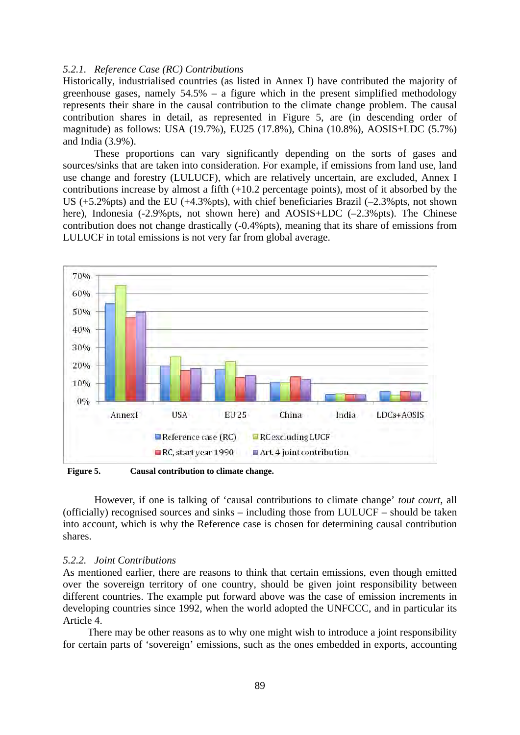## *5.2.1. Reference Case (RC) Contributions*

Historically, industrialised countries (as listed in Annex I) have contributed the majority of greenhouse gases, namely 54.5% – a figure which in the present simplified methodology represents their share in the causal contribution to the climate change problem. The causal contribution shares in detail, as represented in Figure 5, are (in descending order of magnitude) as follows: USA (19.7%), EU25 (17.8%), China (10.8%), AOSIS+LDC (5.7%) and India (3.9%).

These proportions can vary significantly depending on the sorts of gases and sources/sinks that are taken into consideration. For example, if emissions from land use, land use change and forestry (LULUCF), which are relatively uncertain, are excluded, Annex I contributions increase by almost a fifth (+10.2 percentage points), most of it absorbed by the US  $(+5.2\%$  pts) and the EU  $(+4.3\%$  pts), with chief beneficiaries Brazil  $(-2.3\%$  pts, not shown here), Indonesia (-2.9%pts, not shown here) and AOSIS+LDC (-2.3%pts). The Chinese contribution does not change drastically (-0.4%pts), meaning that its share of emissions from LULUCF in total emissions is not very far from global average.



**Figure 5. Causal contribution to climate change.** 

 However, if one is talking of 'causal contributions to climate change' *tout court*, all (officially) recognised sources and sinks – including those from LULUCF – should be taken into account, which is why the Reference case is chosen for determining causal contribution shares.

#### *5.2.2. Joint Contributions*

As mentioned earlier, there are reasons to think that certain emissions, even though emitted over the sovereign territory of one country, should be given joint responsibility between different countries. The example put forward above was the case of emission increments in developing countries since 1992, when the world adopted the UNFCCC, and in particular its Article 4.

There may be other reasons as to why one might wish to introduce a joint responsibility for certain parts of 'sovereign' emissions, such as the ones embedded in exports, accounting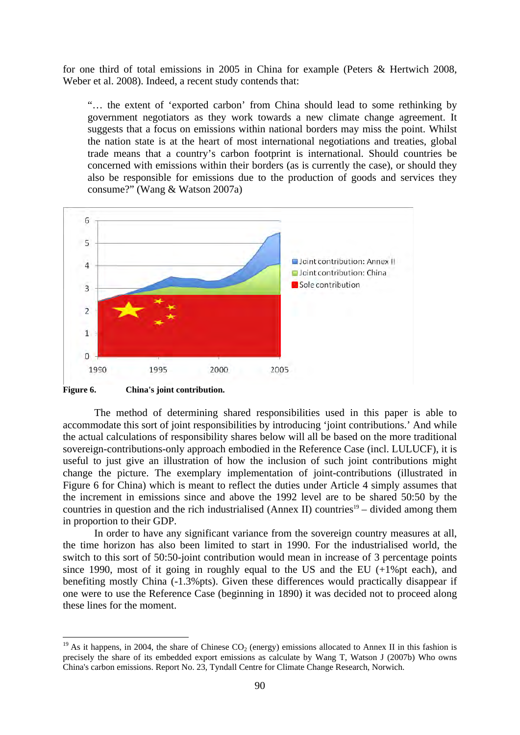for one third of total emissions in 2005 in China for example (Peters & Hertwich 2008, Weber et al. 2008). Indeed, a recent study contends that:

"… the extent of 'exported carbon' from China should lead to some rethinking by government negotiators as they work towards a new climate change agreement. It suggests that a focus on emissions within national borders may miss the point. Whilst the nation state is at the heart of most international negotiations and treaties, global trade means that a country's carbon footprint is international. Should countries be concerned with emissions within their borders (as is currently the case), or should they also be responsible for emissions due to the production of goods and services they consume?" (Wang & Watson 2007a)



**Figure 6. China's joint contribution.** 

1

 The method of determining shared responsibilities used in this paper is able to accommodate this sort of joint responsibilities by introducing 'joint contributions.' And while the actual calculations of responsibility shares below will all be based on the more traditional sovereign-contributions-only approach embodied in the Reference Case (incl. LULUCF), it is useful to just give an illustration of how the inclusion of such joint contributions might change the picture. The exemplary implementation of joint-contributions (illustrated in Figure 6 for China) which is meant to reflect the duties under Article 4 simply assumes that the increment in emissions since and above the 1992 level are to be shared 50:50 by the countries in question and the rich industrialised (Annex II) countries<sup>19</sup> – divided among them in proportion to their GDP.

In order to have any significant variance from the sovereign country measures at all, the time horizon has also been limited to start in 1990. For the industrialised world, the switch to this sort of 50:50-joint contribution would mean in increase of 3 percentage points since 1990, most of it going in roughly equal to the US and the EU (+1%pt each), and benefiting mostly China (-1.3%pts). Given these differences would practically disappear if one were to use the Reference Case (beginning in 1890) it was decided not to proceed along these lines for the moment.

<sup>&</sup>lt;sup>19</sup> As it happens, in 2004, the share of Chinese  $CO_2$  (energy) emissions allocated to Annex II in this fashion is precisely the share of its embedded export emissions as calculate by Wang T, Watson J (2007b) Who owns China's carbon emissions. Report No. 23, Tyndall Centre for Climate Change Research, Norwich.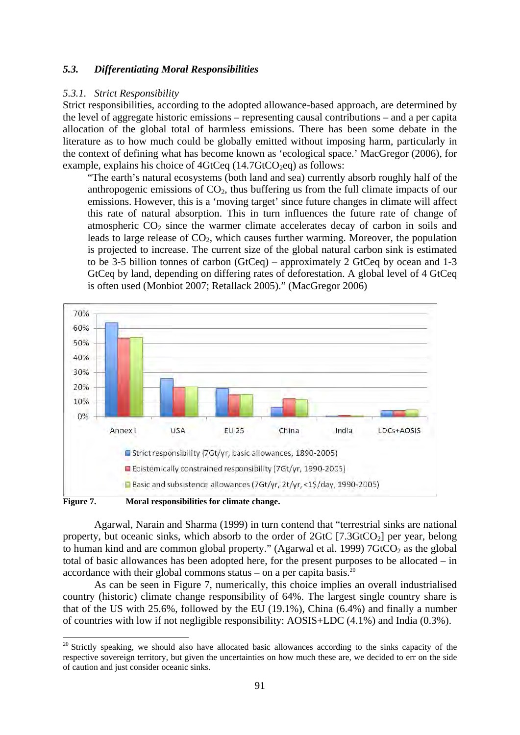## *5.3. Differentiating Moral Responsibilities*

## *5.3.1. Strict Responsibility*

Strict responsibilities, according to the adopted allowance-based approach, are determined by the level of aggregate historic emissions – representing causal contributions – and a per capita allocation of the global total of harmless emissions. There has been some debate in the literature as to how much could be globally emitted without imposing harm, particularly in the context of defining what has become known as 'ecological space.' MacGregor (2006), for example, explains his choice of  $4GtCeq (14.7GtCO<sub>2</sub>eq)$  as follows:

"The earth's natural ecosystems (both land and sea) currently absorb roughly half of the anthropogenic emissions of  $CO<sub>2</sub>$ , thus buffering us from the full climate impacts of our emissions. However, this is a 'moving target' since future changes in climate will affect this rate of natural absorption. This in turn influences the future rate of change of atmospheric  $CO<sub>2</sub>$  since the warmer climate accelerates decay of carbon in soils and leads to large release of  $CO<sub>2</sub>$ , which causes further warming. Moreover, the population is projected to increase. The current size of the global natural carbon sink is estimated to be 3-5 billion tonnes of carbon (GtCeq) – approximately 2 GtCeq by ocean and 1-3 GtCeq by land, depending on differing rates of deforestation. A global level of 4 GtCeq is often used (Monbiot 2007; Retallack 2005)." (MacGregor 2006)



Figure 7. Moral responsibilities for climate change.

1

 Agarwal, Narain and Sharma (1999) in turn contend that "terrestrial sinks are national property, but oceanic sinks, which absorb to the order of  $2G<sub>t</sub>C$  [7.3GtCO<sub>2</sub>] per year, belong to human kind and are common global property." (Agarwal et al. 1999)  $76tCO_2$  as the global total of basic allowances has been adopted here, for the present purposes to be allocated – in accordance with their global commons status – on a per capita basis. $20$ 

As can be seen in Figure 7, numerically, this choice implies an overall industrialised country (historic) climate change responsibility of 64%. The largest single country share is that of the US with 25.6%, followed by the EU (19.1%), China (6.4%) and finally a number of countries with low if not negligible responsibility: AOSIS+LDC (4.1%) and India (0.3%).

<sup>&</sup>lt;sup>20</sup> Strictly speaking, we should also have allocated basic allowances according to the sinks capacity of the respective sovereign territory, but given the uncertainties on how much these are, we decided to err on the side of caution and just consider oceanic sinks.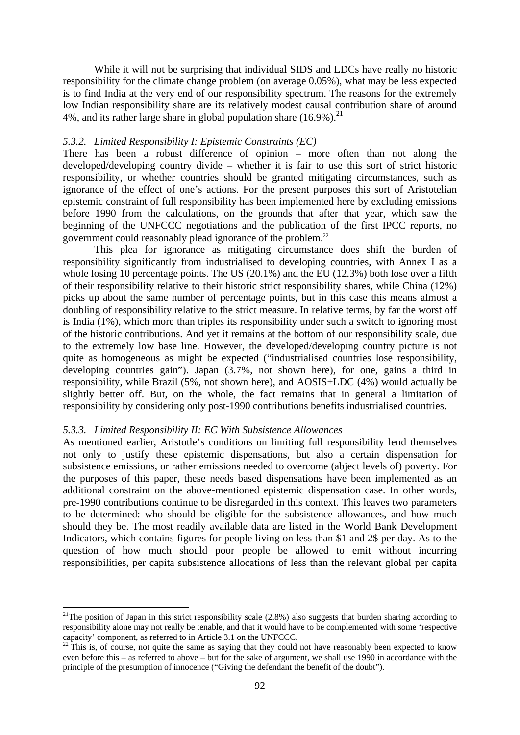While it will not be surprising that individual SIDS and LDCs have really no historic responsibility for the climate change problem (on average 0.05%), what may be less expected is to find India at the very end of our responsibility spectrum. The reasons for the extremely low Indian responsibility share are its relatively modest causal contribution share of around 4%, and its rather large share in global population share  $(16.9\%)$ <sup>21</sup>

#### *5.3.2. Limited Responsibility I: Epistemic Constraints (EC)*

There has been a robust difference of opinion – more often than not along the developed/developing country divide – whether it is fair to use this sort of strict historic responsibility, or whether countries should be granted mitigating circumstances, such as ignorance of the effect of one's actions. For the present purposes this sort of Aristotelian epistemic constraint of full responsibility has been implemented here by excluding emissions before 1990 from the calculations, on the grounds that after that year, which saw the beginning of the UNFCCC negotiations and the publication of the first IPCC reports, no government could reasonably plead ignorance of the problem.<sup>22</sup>

This plea for ignorance as mitigating circumstance does shift the burden of responsibility significantly from industrialised to developing countries, with Annex I as a whole losing 10 percentage points. The US (20.1%) and the EU (12.3%) both lose over a fifth of their responsibility relative to their historic strict responsibility shares, while China (12%) picks up about the same number of percentage points, but in this case this means almost a doubling of responsibility relative to the strict measure. In relative terms, by far the worst off is India (1%), which more than triples its responsibility under such a switch to ignoring most of the historic contributions. And yet it remains at the bottom of our responsibility scale, due to the extremely low base line. However, the developed/developing country picture is not quite as homogeneous as might be expected ("industrialised countries lose responsibility, developing countries gain"). Japan (3.7%, not shown here), for one, gains a third in responsibility, while Brazil (5%, not shown here), and AOSIS+LDC (4%) would actually be slightly better off. But, on the whole, the fact remains that in general a limitation of responsibility by considering only post-1990 contributions benefits industrialised countries.

#### *5.3.3. Limited Responsibility II: EC With Subsistence Allowances*

1

As mentioned earlier, Aristotle's conditions on limiting full responsibility lend themselves not only to justify these epistemic dispensations, but also a certain dispensation for subsistence emissions, or rather emissions needed to overcome (abject levels of) poverty. For the purposes of this paper, these needs based dispensations have been implemented as an additional constraint on the above-mentioned epistemic dispensation case. In other words, pre-1990 contributions continue to be disregarded in this context. This leaves two parameters to be determined: who should be eligible for the subsistence allowances, and how much should they be. The most readily available data are listed in the World Bank Development Indicators, which contains figures for people living on less than \$1 and 2\$ per day. As to the question of how much should poor people be allowed to emit without incurring responsibilities, per capita subsistence allocations of less than the relevant global per capita

<sup>&</sup>lt;sup>21</sup>The position of Japan in this strict responsibility scale  $(2.8%)$  also suggests that burden sharing according to responsibility alone may not really be tenable, and that it would have to be complemented with some 'respective capacity' component, as referred to in Article 3.1 on the UNFCCC.

 $^{22}$  This is, of course, not quite the same as saying that they could not have reasonably been expected to know even before this – as referred to above – but for the sake of argument, we shall use 1990 in accordance with the principle of the presumption of innocence ("Giving the defendant the benefit of the doubt").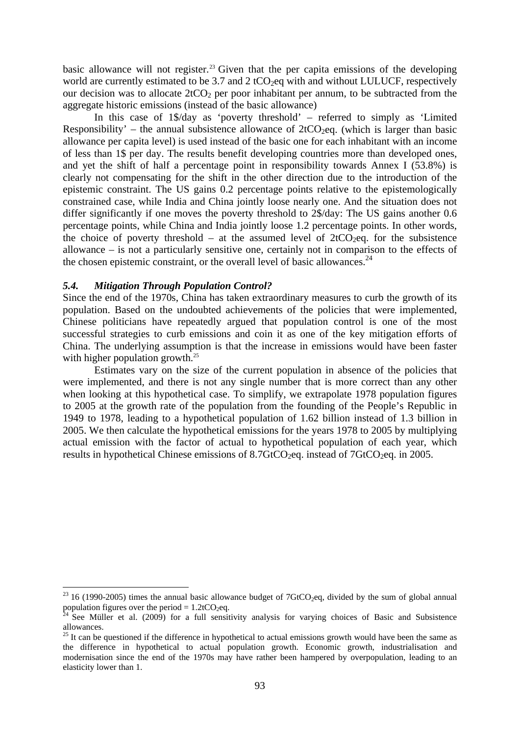basic allowance will not register.<sup>23</sup> Given that the per capita emissions of the developing world are currently estimated to be  $3.7$  and  $2 \text{ tCO}_2$  eq with and without LULUCF, respectively our decision was to allocate  $2tCO<sub>2</sub>$  per poor inhabitant per annum, to be subtracted from the aggregate historic emissions (instead of the basic allowance)

In this case of 1\$/day as 'poverty threshold' – referred to simply as 'Limited Responsibility' – the annual subsistence allowance of  $2tCO_2$ eq. (which is larger than basic allowance per capita level) is used instead of the basic one for each inhabitant with an income of less than 1\$ per day. The results benefit developing countries more than developed ones, and yet the shift of half a percentage point in responsibility towards Annex I (53.8%) is clearly not compensating for the shift in the other direction due to the introduction of the epistemic constraint. The US gains 0.2 percentage points relative to the epistemologically constrained case, while India and China jointly loose nearly one. And the situation does not differ significantly if one moves the poverty threshold to 2\$/day: The US gains another 0.6 percentage points, while China and India jointly loose 1.2 percentage points. In other words, the choice of poverty threshold – at the assumed level of  $2tCO_2$ eq. for the subsistence allowance – is not a particularly sensitive one, certainly not in comparison to the effects of the chosen epistemic constraint, or the overall level of basic allowances.<sup>24</sup>

#### *5.4. Mitigation Through Population Control?*

<u>.</u>

Since the end of the 1970s, China has taken extraordinary measures to curb the growth of its population. Based on the undoubted achievements of the policies that were implemented, Chinese politicians have repeatedly argued that population control is one of the most successful strategies to curb emissions and coin it as one of the key mitigation efforts of China. The underlying assumption is that the increase in emissions would have been faster with higher population growth.<sup>25</sup>

Estimates vary on the size of the current population in absence of the policies that were implemented, and there is not any single number that is more correct than any other when looking at this hypothetical case. To simplify, we extrapolate 1978 population figures to 2005 at the growth rate of the population from the founding of the People's Republic in 1949 to 1978, leading to a hypothetical population of 1.62 billion instead of 1.3 billion in 2005. We then calculate the hypothetical emissions for the years 1978 to 2005 by multiplying actual emission with the factor of actual to hypothetical population of each year, which results in hypothetical Chinese emissions of  $8.7\text{GtCO}_2$ eq. instead of  $7\text{GtCO}_2$ eq. in 2005.

 $^{23}$  16 (1990-2005) times the annual basic allowance budget of 7GtCO<sub>2</sub>eq, divided by the sum of global annual population figures over the period =  $1.2$ tCO<sub>2</sub>eq.<br><sup>24</sup> See Müller et al. (2009) for a full sensitivity analysis for varying choices of Basic and Subsistence

allowances.

 $25$  It can be questioned if the difference in hypothetical to actual emissions growth would have been the same as the difference in hypothetical to actual population growth. Economic growth, industrialisation and modernisation since the end of the 1970s may have rather been hampered by overpopulation, leading to an elasticity lower than 1.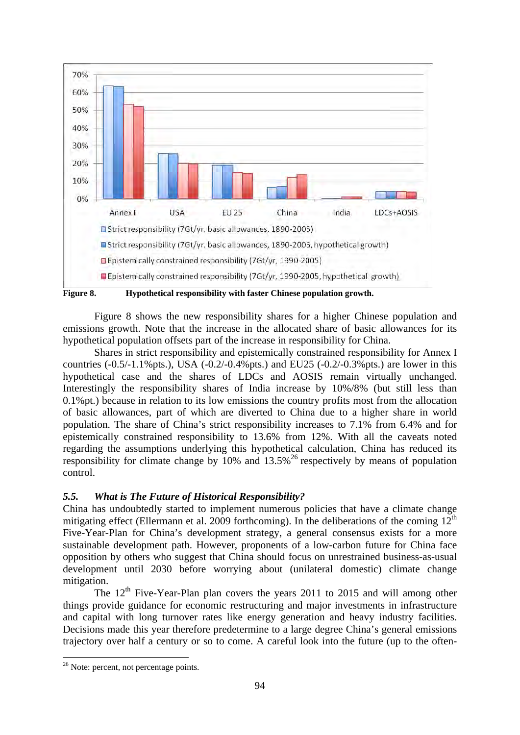

 Figure 8 shows the new responsibility shares for a higher Chinese population and emissions growth. Note that the increase in the allocated share of basic allowances for its hypothetical population offsets part of the increase in responsibility for China.

Shares in strict responsibility and epistemically constrained responsibility for Annex I countries  $(-0.5/-1.1\%$  pts.), USA  $(-0.2/-0.4\%$  pts.) and EU25  $(-0.2/-0.3\%$  pts.) are lower in this hypothetical case and the shares of LDCs and AOSIS remain virtually unchanged. Interestingly the responsibility shares of India increase by 10%/8% (but still less than 0.1%pt.) because in relation to its low emissions the country profits most from the allocation of basic allowances, part of which are diverted to China due to a higher share in world population. The share of China's strict responsibility increases to 7.1% from 6.4% and for epistemically constrained responsibility to 13.6% from 12%. With all the caveats noted regarding the assumptions underlying this hypothetical calculation, China has reduced its responsibility for climate change by  $10\%$  and  $13.5\%$ <sup>26</sup> respectively by means of population control.

## *5.5. What is The Future of Historical Responsibility?*

China has undoubtedly started to implement numerous policies that have a climate change mitigating effect (Ellermann et al. 2009 forthcoming). In the deliberations of the coming  $12<sup>th</sup>$ Five-Year-Plan for China's development strategy, a general consensus exists for a more sustainable development path. However, proponents of a low-carbon future for China face opposition by others who suggest that China should focus on unrestrained business-as-usual development until 2030 before worrying about (unilateral domestic) climate change mitigation.

The 12<sup>th</sup> Five-Year-Plan plan covers the years 2011 to 2015 and will among other things provide guidance for economic restructuring and major investments in infrastructure and capital with long turnover rates like energy generation and heavy industry facilities. Decisions made this year therefore predetermine to a large degree China's general emissions trajectory over half a century or so to come. A careful look into the future (up to the often-

<sup>&</sup>lt;sup>26</sup> Note: percent, not percentage points.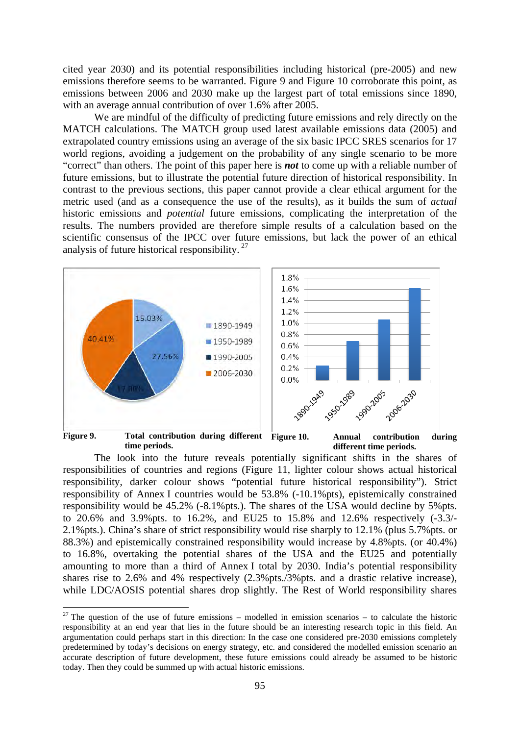cited year 2030) and its potential responsibilities including historical (pre-2005) and new emissions therefore seems to be warranted. Figure 9 and Figure 10 corroborate this point, as emissions between 2006 and 2030 make up the largest part of total emissions since 1890, with an average annual contribution of over 1.6% after 2005.

We are mindful of the difficulty of predicting future emissions and rely directly on the MATCH calculations. The MATCH group used latest available emissions data (2005) and extrapolated country emissions using an average of the six basic IPCC SRES scenarios for 17 world regions, avoiding a judgement on the probability of any single scenario to be more "correct" than others. The point of this paper here is *not* to come up with a reliable number of future emissions, but to illustrate the potential future direction of historical responsibility. In contrast to the previous sections, this paper cannot provide a clear ethical argument for the metric used (and as a consequence the use of the results), as it builds the sum of *actual* historic emissions and *potential* future emissions, complicating the interpretation of the results. The numbers provided are therefore simple results of a calculation based on the scientific consensus of the IPCC over future emissions, but lack the power of an ethical analysis of future historical responsibility. 27



 The look into the future reveals potentially significant shifts in the shares of responsibilities of countries and regions (Figure 11, lighter colour shows actual historical responsibility, darker colour shows "potential future historical responsibility"). Strict responsibility of Annex I countries would be 53.8% (-10.1%pts), epistemically constrained responsibility would be 45.2% (-8.1%pts.). The shares of the USA would decline by 5%pts. to 20.6% and 3.9%pts. to 16.2%, and EU25 to 15.8% and 12.6% respectively (-3.3/- 2.1%pts.). China's share of strict responsibility would rise sharply to 12.1% (plus 5.7%pts. or 88.3%) and epistemically constrained responsibility would increase by 4.8%pts. (or 40.4%) to 16.8%, overtaking the potential shares of the USA and the EU25 and potentially amounting to more than a third of Annex I total by 2030. India's potential responsibility shares rise to 2.6% and 4% respectively (2.3%pts./3%pts. and a drastic relative increase), while LDC/AOSIS potential shares drop slightly. The Rest of World responsibility shares

<sup>&</sup>lt;sup>27</sup> The question of the use of future emissions – modelled in emission scenarios – to calculate the historic responsibility at an end year that lies in the future should be an interesting research topic in this field. An argumentation could perhaps start in this direction: In the case one considered pre-2030 emissions completely predetermined by today's decisions on energy strategy, etc. and considered the modelled emission scenario an accurate description of future development, these future emissions could already be assumed to be historic today. Then they could be summed up with actual historic emissions.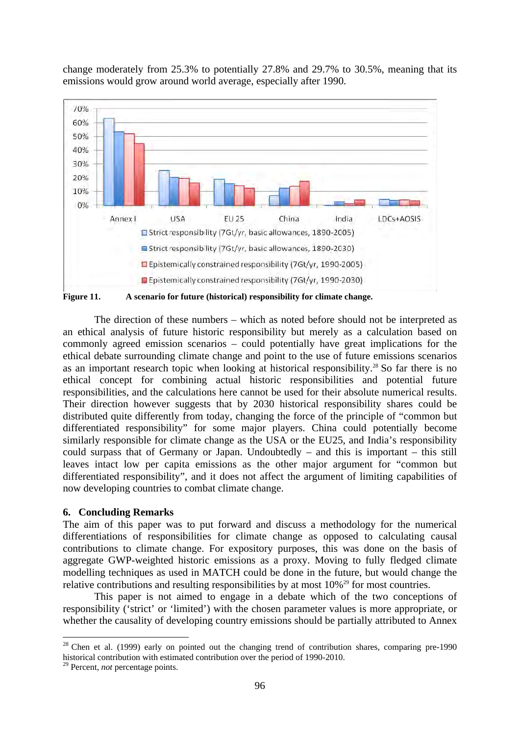change moderately from 25.3% to potentially 27.8% and 29.7% to 30.5%, meaning that its emissions would grow around world average, especially after 1990.



**Figure 11. A scenario for future (historical) responsibility for climate change.** 

 The direction of these numbers – which as noted before should not be interpreted as an ethical analysis of future historic responsibility but merely as a calculation based on commonly agreed emission scenarios – could potentially have great implications for the ethical debate surrounding climate change and point to the use of future emissions scenarios as an important research topic when looking at historical responsibility.<sup>28</sup> So far there is no ethical concept for combining actual historic responsibilities and potential future responsibilities, and the calculations here cannot be used for their absolute numerical results. Their direction however suggests that by 2030 historical responsibility shares could be distributed quite differently from today, changing the force of the principle of "common but differentiated responsibility" for some major players. China could potentially become similarly responsible for climate change as the USA or the EU25, and India's responsibility could surpass that of Germany or Japan. Undoubtedly – and this is important – this still leaves intact low per capita emissions as the other major argument for "common but differentiated responsibility", and it does not affect the argument of limiting capabilities of now developing countries to combat climate change.

#### **6. Concluding Remarks**

The aim of this paper was to put forward and discuss a methodology for the numerical differentiations of responsibilities for climate change as opposed to calculating causal contributions to climate change. For expository purposes, this was done on the basis of aggregate GWP-weighted historic emissions as a proxy. Moving to fully fledged climate modelling techniques as used in MATCH could be done in the future, but would change the relative contributions and resulting responsibilities by at most 10%<sup>29</sup> for most countries.

This paper is not aimed to engage in a debate which of the two conceptions of responsibility ('strict' or 'limited') with the chosen parameter values is more appropriate, or whether the causality of developing country emissions should be partially attributed to Annex

 $28$  Chen et al. (1999) early on pointed out the changing trend of contribution shares, comparing pre-1990 historical contribution with estimated contribution over the period of 1990-2010.

<sup>29</sup> Percent, *not* percentage points.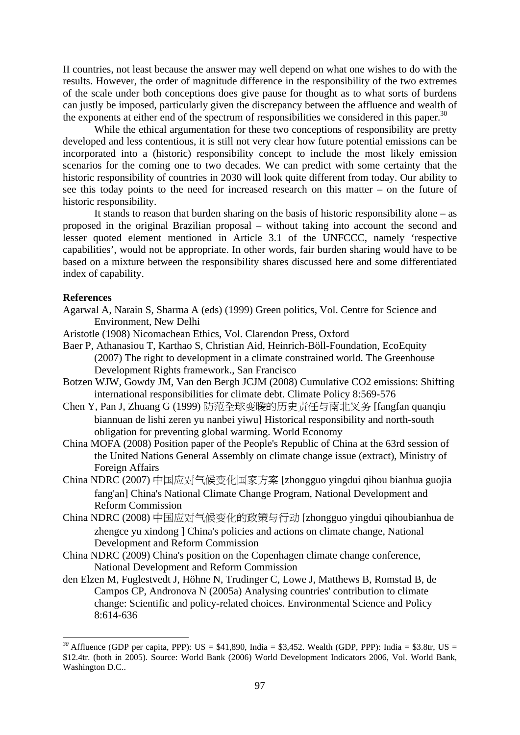II countries, not least because the answer may well depend on what one wishes to do with the results. However, the order of magnitude difference in the responsibility of the two extremes of the scale under both conceptions does give pause for thought as to what sorts of burdens can justly be imposed, particularly given the discrepancy between the affluence and wealth of the exponents at either end of the spectrum of responsibilities we considered in this paper.<sup>30</sup>

While the ethical argumentation for these two conceptions of responsibility are pretty developed and less contentious, it is still not very clear how future potential emissions can be incorporated into a (historic) responsibility concept to include the most likely emission scenarios for the coming one to two decades. We can predict with some certainty that the historic responsibility of countries in 2030 will look quite different from today. Our ability to see this today points to the need for increased research on this matter – on the future of historic responsibility.

It stands to reason that burden sharing on the basis of historic responsibility alone – as proposed in the original Brazilian proposal – without taking into account the second and lesser quoted element mentioned in Article 3.1 of the UNFCCC, namely 'respective capabilities', would not be appropriate. In other words, fair burden sharing would have to be based on a mixture between the responsibility shares discussed here and some differentiated index of capability.

#### **References**

<u>.</u>

- Agarwal A, Narain S, Sharma A (eds) (1999) Green politics, Vol. Centre for Science and Environment, New Delhi
- Aristotle (1908) Nicomachean Ethics, Vol. Clarendon Press, Oxford
- Baer P, Athanasiou T, Karthao S, Christian Aid, Heinrich-Böll-Foundation, EcoEquity (2007) The right to development in a climate constrained world. The Greenhouse Development Rights framework., San Francisco
- Botzen WJW, Gowdy JM, Van den Bergh JCJM (2008) Cumulative CO2 emissions: Shifting international responsibilities for climate debt. Climate Policy 8:569-576
- Chen Y, Pan J, Zhuang G (1999) 防范全球变暖的历史责任与南北义务 [fangfan quanqiu biannuan de lishi zeren yu nanbei yiwu] Historical responsibility and north-south obligation for preventing global warming. World Economy
- China MOFA (2008) Position paper of the People's Republic of China at the 63rd session of the United Nations General Assembly on climate change issue (extract), Ministry of Foreign Affairs
- China NDRC (2007) 中国应对气候变化国家方案 [zhongguo yingdui qihou bianhua guojia fang'an] China's National Climate Change Program, National Development and Reform Commission
- China NDRC (2008) 中国应对气候变化的政策与行动 [zhongguo yingdui qihoubianhua de zhengce yu xindong ] China's policies and actions on climate change, National Development and Reform Commission
- China NDRC (2009) China's position on the Copenhagen climate change conference, National Development and Reform Commission
- den Elzen M, Fuglestvedt J, Höhne N, Trudinger C, Lowe J, Matthews B, Romstad B, de Campos CP, Andronova N (2005a) Analysing countries' contribution to climate change: Scientific and policy-related choices. Environmental Science and Policy 8:614-636

<sup>&</sup>lt;sup>30</sup> Affluence (GDP per capita, PPP): US = \$41,890, India = \$3,452. Wealth (GDP, PPP): India = \$3,8tr, US = \$12.4tr. (both in 2005). Source: World Bank (2006) World Development Indicators 2006, Vol. World Bank, Washington D.C..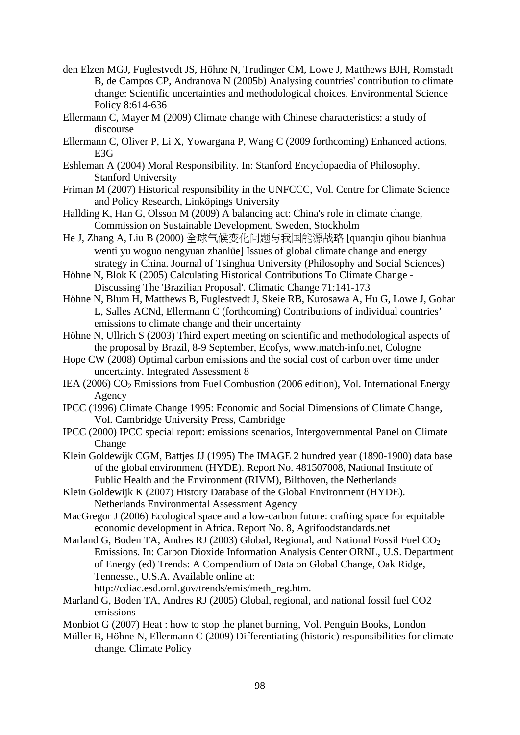- den Elzen MGJ, Fuglestvedt JS, Höhne N, Trudinger CM, Lowe J, Matthews BJH, Romstadt B, de Campos CP, Andranova N (2005b) Analysing countries' contribution to climate change: Scientific uncertainties and methodological choices. Environmental Science Policy 8:614-636
- Ellermann C, Mayer M (2009) Climate change with Chinese characteristics: a study of discourse
- Ellermann C, Oliver P, Li X, Yowargana P, Wang C (2009 forthcoming) Enhanced actions, E3G
- Eshleman A (2004) Moral Responsibility. In: Stanford Encyclopaedia of Philosophy. Stanford University
- Friman M (2007) Historical responsibility in the UNFCCC, Vol. Centre for Climate Science and Policy Research, Linköpings University
- Hallding K, Han G, Olsson M (2009) A balancing act: China's role in climate change, Commission on Sustainable Development, Sweden, Stockholm
- He J, Zhang A, Liu B (2000) 全球气候变化问题与我国能源战略 [quanqiu qihou bianhua wenti yu woguo nengyuan zhanlüe] Issues of global climate change and energy strategy in China. Journal of Tsinghua University (Philosophy and Social Sciences)
- Höhne N, Blok K (2005) Calculating Historical Contributions To Climate Change Discussing The 'Brazilian Proposal'. Climatic Change 71:141-173
- Höhne N, Blum H, Matthews B, Fuglestvedt J, Skeie RB, Kurosawa A, Hu G, Lowe J, Gohar L, Salles ACNd, Ellermann C (forthcoming) Contributions of individual countries' emissions to climate change and their uncertainty
- Höhne N, Ullrich S (2003) Third expert meeting on scientific and methodological aspects of the proposal by Brazil, 8-9 September, Ecofys, www.match-info.net, Cologne
- Hope CW (2008) Optimal carbon emissions and the social cost of carbon over time under uncertainty. Integrated Assessment 8
- IEA (2006)  $CO<sub>2</sub>$  Emissions from Fuel Combustion (2006 edition), Vol. International Energy Agency
- IPCC (1996) Climate Change 1995: Economic and Social Dimensions of Climate Change, Vol. Cambridge University Press, Cambridge
- IPCC (2000) IPCC special report: emissions scenarios, Intergovernmental Panel on Climate Change
- Klein Goldewijk CGM, Battjes JJ (1995) The IMAGE 2 hundred year (1890-1900) data base of the global environment (HYDE). Report No. 481507008, National Institute of Public Health and the Environment (RIVM), Bilthoven, the Netherlands
- Klein Goldewijk K (2007) History Database of the Global Environment (HYDE). Netherlands Environmental Assessment Agency
- MacGregor J (2006) Ecological space and a low-carbon future: crafting space for equitable economic development in Africa. Report No. 8, Agrifoodstandards.net
- Marland G, Boden TA, Andres RJ (2003) Global, Regional, and National Fossil Fuel  $CO<sub>2</sub>$ Emissions. In: Carbon Dioxide Information Analysis Center ORNL, U.S. Department of Energy (ed) Trends: A Compendium of Data on Global Change, Oak Ridge, Tennesse., U.S.A. Available online at: http://cdiac.esd.ornl.gov/trends/emis/meth\_reg.htm.
- Marland G, Boden TA, Andres RJ (2005) Global, regional, and national fossil fuel CO2 emissions
- Monbiot G (2007) Heat : how to stop the planet burning, Vol. Penguin Books, London
- Müller B, Höhne N, Ellermann C (2009) Differentiating (historic) responsibilities for climate change. Climate Policy